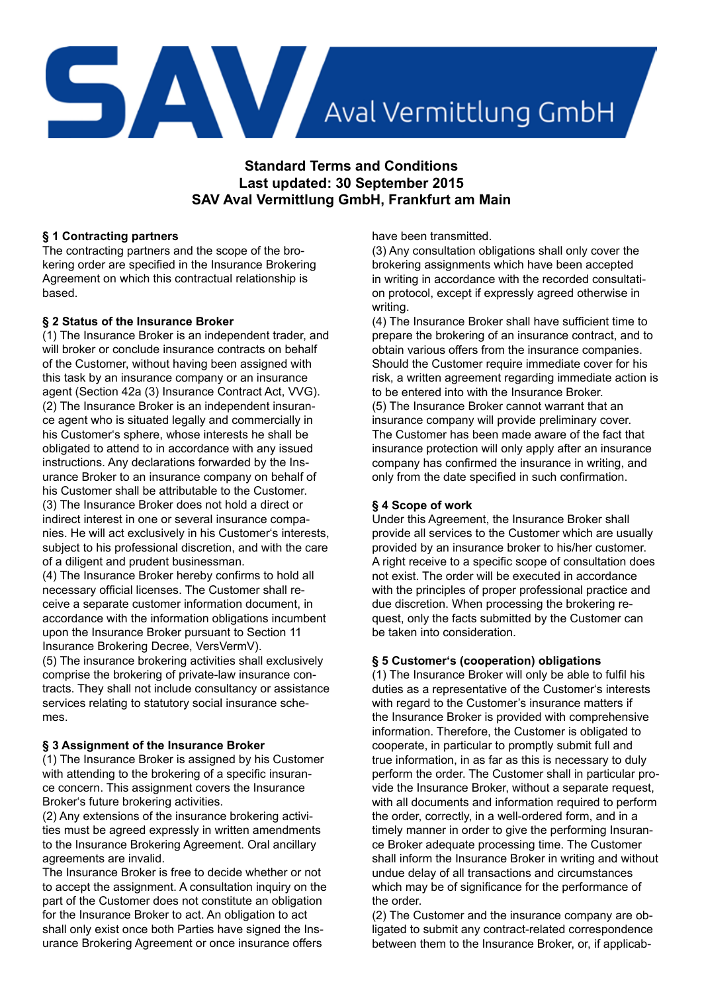

**Standard Terms and Conditions Last updated: 30 September 2015 SAV Aval Vermittlung GmbH, Frankfurt am Main**

# **§ 1 Contracting partners**

The contracting partners and the scope of the brokering order are specified in the Insurance Brokering Agreement on which this contractual relationship is based.

## **§ 2 Status of the Insurance Broker**

(1) The Insurance Broker is an independent trader, and will broker or conclude insurance contracts on behalf of the Customer, without having been assigned with this task by an insurance company or an insurance agent (Section 42a (3) Insurance Contract Act, VVG). (2) The Insurance Broker is an independent insurance agent who is situated legally and commercially in his Customer's sphere, whose interests he shall be obligated to attend to in accordance with any issued instructions. Any declarations forwarded by the Insurance Broker to an insurance company on behalf of his Customer shall be attributable to the Customer. (3) The Insurance Broker does not hold a direct or indirect interest in one or several insurance companies. He will act exclusively in his Customer's interests, subject to his professional discretion, and with the care of a diligent and prudent businessman.

(4) The Insurance Broker hereby confirms to hold all necessary official licenses. The Customer shall receive a separate customer information document, in accordance with the information obligations incumbent upon the Insurance Broker pursuant to Section 11 Insurance Brokering Decree, VersVermV). (5) The insurance brokering activities shall exclusively comprise the brokering of private-law insurance contracts. They shall not include consultancy or assistance services relating to statutory social insurance schemes.

# **§ 3 Assignment of the Insurance Broker**

(1) The Insurance Broker is assigned by his Customer with attending to the brokering of a specific insurance concern. This assignment covers the Insurance Broker's future brokering activities.

(2) Any extensions of the insurance brokering activities must be agreed expressly in written amendments to the Insurance Brokering Agreement. Oral ancillary agreements are invalid.

The Insurance Broker is free to decide whether or not to accept the assignment. A consultation inquiry on the part of the Customer does not constitute an obligation for the Insurance Broker to act. An obligation to act shall only exist once both Parties have signed the Insurance Brokering Agreement or once insurance offers

have been transmitted.

(3) Any consultation obligations shall only cover the brokering assignments which have been accepted in writing in accordance with the recorded consultation protocol, except if expressly agreed otherwise in writing.

(4) The Insurance Broker shall have sufficient time to prepare the brokering of an insurance contract, and to obtain various offers from the insurance companies. Should the Customer require immediate cover for his risk, a written agreement regarding immediate action is to be entered into with the Insurance Broker. (5) The Insurance Broker cannot warrant that an insurance company will provide preliminary cover. The Customer has been made aware of the fact that insurance protection will only apply after an insurance company has confirmed the insurance in writing, and only from the date specified in such confirmation.

# **§ 4 Scope of work**

Under this Agreement, the Insurance Broker shall provide all services to the Customer which are usually provided by an insurance broker to his/her customer. A right receive to a specific scope of consultation does not exist. The order will be executed in accordance with the principles of proper professional practice and due discretion. When processing the brokering request, only the facts submitted by the Customer can be taken into consideration.

## **§ 5 Customer's (cooperation) obligations**

(1) The Insurance Broker will only be able to fulfil his duties as a representative of the Customer's interests with regard to the Customer's insurance matters if the Insurance Broker is provided with comprehensive information. Therefore, the Customer is obligated to cooperate, in particular to promptly submit full and true information, in as far as this is necessary to duly perform the order. The Customer shall in particular provide the Insurance Broker, without a separate request, with all documents and information required to perform the order, correctly, in a well-ordered form, and in a timely manner in order to give the performing Insurance Broker adequate processing time. The Customer shall inform the Insurance Broker in writing and without undue delay of all transactions and circumstances which may be of significance for the performance of the order.

(2) The Customer and the insurance company are obligated to submit any contract-related correspondence between them to the Insurance Broker, or, if applicab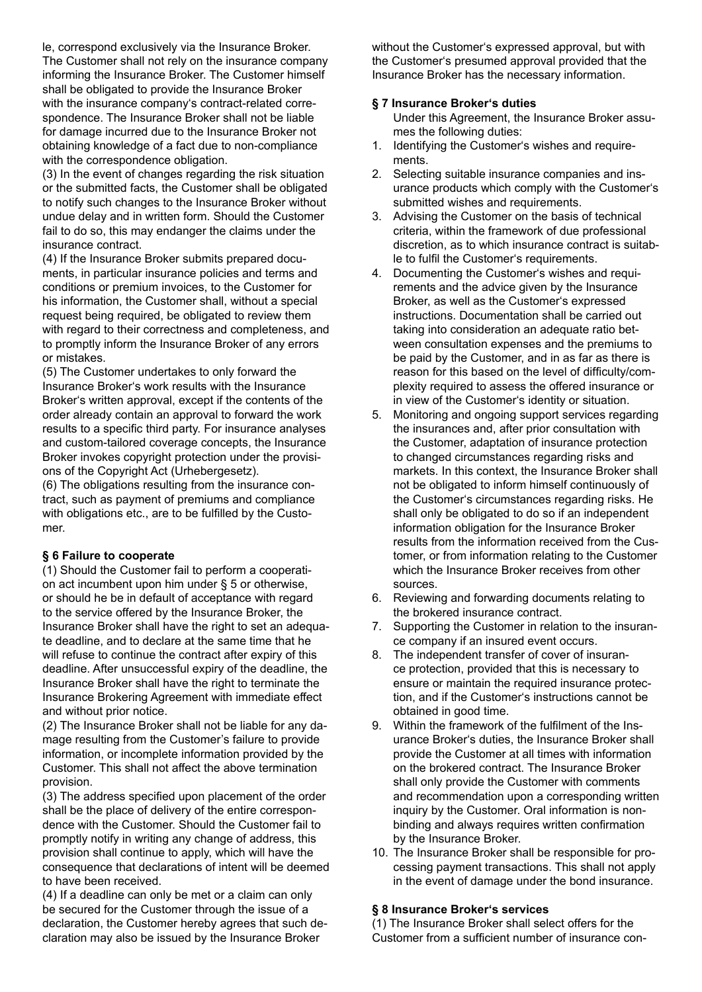le, correspond exclusively via the Insurance Broker. The Customer shall not rely on the insurance company informing the Insurance Broker. The Customer himself shall be obligated to provide the Insurance Broker with the insurance company's contract-related correspondence. The Insurance Broker shall not be liable for damage incurred due to the Insurance Broker not obtaining knowledge of a fact due to non-compliance with the correspondence obligation.

(3) In the event of changes regarding the risk situation or the submitted facts, the Customer shall be obligated to notify such changes to the Insurance Broker without undue delay and in written form. Should the Customer fail to do so, this may endanger the claims under the insurance contract.

(4) If the Insurance Broker submits prepared documents, in particular insurance policies and terms and conditions or premium invoices, to the Customer for his information, the Customer shall, without a special request being required, be obligated to review them with regard to their correctness and completeness, and to promptly inform the Insurance Broker of any errors or mistakes.

(5) The Customer undertakes to only forward the Insurance Broker's work results with the Insurance Broker's written approval, except if the contents of the order already contain an approval to forward the work results to a specific third party. For insurance analyses and custom-tailored coverage concepts, the Insurance Broker invokes copyright protection under the provisions of the Copyright Act (Urhebergesetz).

(6) The obligations resulting from the insurance contract, such as payment of premiums and compliance with obligations etc., are to be fulfilled by the Customer.

## **§ 6 Failure to cooperate**

(1) Should the Customer fail to perform a cooperation act incumbent upon him under § 5 or otherwise, or should he be in default of acceptance with regard to the service offered by the Insurance Broker, the Insurance Broker shall have the right to set an adequate deadline, and to declare at the same time that he will refuse to continue the contract after expiry of this deadline. After unsuccessful expiry of the deadline, the Insurance Broker shall have the right to terminate the Insurance Brokering Agreement with immediate effect and without prior notice.

(2) The Insurance Broker shall not be liable for any damage resulting from the Customer's failure to provide information, or incomplete information provided by the Customer. This shall not affect the above termination provision.

(3) The address specified upon placement of the order shall be the place of delivery of the entire correspondence with the Customer. Should the Customer fail to promptly notify in writing any change of address, this provision shall continue to apply, which will have the consequence that declarations of intent will be deemed to have been received.

(4) If a deadline can only be met or a claim can only be secured for the Customer through the issue of a declaration, the Customer hereby agrees that such declaration may also be issued by the Insurance Broker

without the Customer's expressed approval, but with the Customer's presumed approval provided that the Insurance Broker has the necessary information.

#### **§ 7 Insurance Broker's duties**

- Under this Agreement, the Insurance Broker assumes the following duties:
- 1. Identifying the Customer's wishes and requirements.
- 2. Selecting suitable insurance companies and insurance products which comply with the Customer's submitted wishes and requirements.
- 3. Advising the Customer on the basis of technical criteria, within the framework of due professional discretion, as to which insurance contract is suitable to fulfil the Customer's requirements.
- 4. Documenting the Customer's wishes and requirements and the advice given by the Insurance Broker, as well as the Customer's expressed instructions. Documentation shall be carried out taking into consideration an adequate ratio between consultation expenses and the premiums to be paid by the Customer, and in as far as there is reason for this based on the level of difficulty/complexity required to assess the offered insurance or in view of the Customer's identity or situation.
- 5. Monitoring and ongoing support services regarding the insurances and, after prior consultation with the Customer, adaptation of insurance protection to changed circumstances regarding risks and markets. In this context, the Insurance Broker shall not be obligated to inform himself continuously of the Customer's circumstances regarding risks. He shall only be obligated to do so if an independent information obligation for the Insurance Broker results from the information received from the Customer, or from information relating to the Customer which the Insurance Broker receives from other sources.
- 6. Reviewing and forwarding documents relating to the brokered insurance contract.
- 7. Supporting the Customer in relation to the insurance company if an insured event occurs.
- 8. The independent transfer of cover of insurance protection, provided that this is necessary to ensure or maintain the required insurance protection, and if the Customer's instructions cannot be obtained in good time.
- 9. Within the framework of the fulfilment of the Insurance Broker's duties, the Insurance Broker shall provide the Customer at all times with information on the brokered contract. The Insurance Broker shall only provide the Customer with comments and recommendation upon a corresponding written inquiry by the Customer. Oral information is nonbinding and always requires written confirmation by the Insurance Broker.
- 10. The Insurance Broker shall be responsible for processing payment transactions. This shall not apply in the event of damage under the bond insurance.

#### **§ 8 Insurance Broker's services**

(1) The Insurance Broker shall select offers for the Customer from a sufficient number of insurance con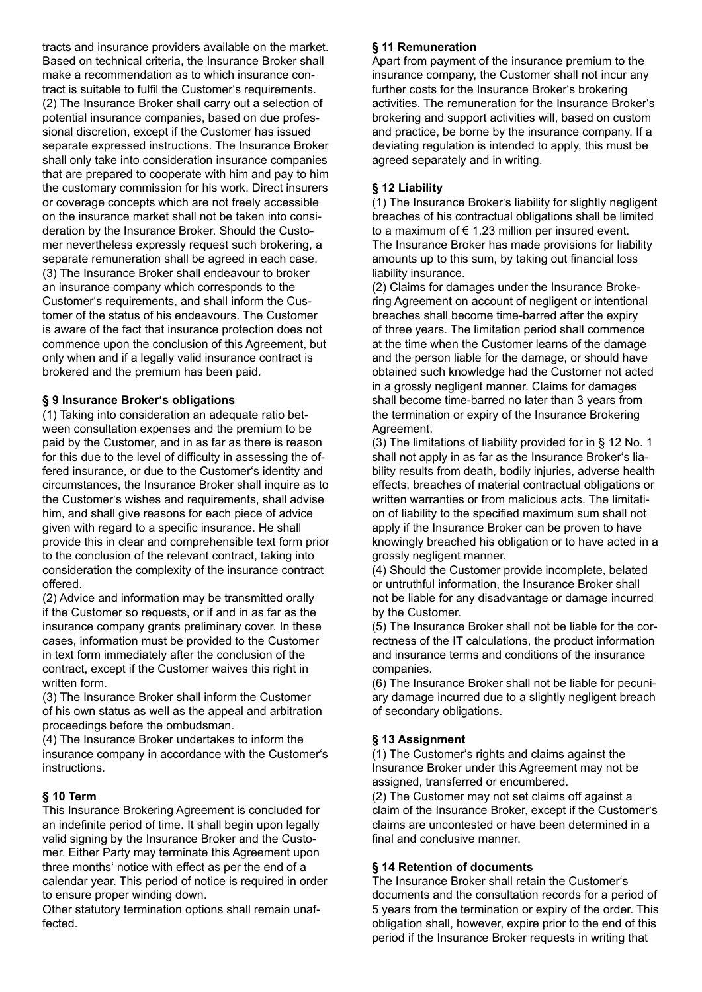tracts and insurance providers available on the market. Based on technical criteria, the Insurance Broker shall make a recommendation as to which insurance contract is suitable to fulfil the Customer's requirements. (2) The Insurance Broker shall carry out a selection of potential insurance companies, based on due professional discretion, except if the Customer has issued separate expressed instructions. The Insurance Broker shall only take into consideration insurance companies that are prepared to cooperate with him and pay to him the customary commission for his work. Direct insurers or coverage concepts which are not freely accessible on the insurance market shall not be taken into consideration by the Insurance Broker. Should the Customer nevertheless expressly request such brokering, a separate remuneration shall be agreed in each case. (3) The Insurance Broker shall endeavour to broker an insurance company which corresponds to the Customer's requirements, and shall inform the Customer of the status of his endeavours. The Customer is aware of the fact that insurance protection does not commence upon the conclusion of this Agreement, but only when and if a legally valid insurance contract is brokered and the premium has been paid.

## **§ 9 Insurance Broker's obligations**

(1) Taking into consideration an adequate ratio between consultation expenses and the premium to be paid by the Customer, and in as far as there is reason for this due to the level of difficulty in assessing the offered insurance, or due to the Customer's identity and circumstances, the Insurance Broker shall inquire as to the Customer's wishes and requirements, shall advise him, and shall give reasons for each piece of advice given with regard to a specific insurance. He shall provide this in clear and comprehensible text form prior to the conclusion of the relevant contract, taking into consideration the complexity of the insurance contract offered.

(2) Advice and information may be transmitted orally if the Customer so requests, or if and in as far as the insurance company grants preliminary cover. In these cases, information must be provided to the Customer in text form immediately after the conclusion of the contract, except if the Customer waives this right in written form.

(3) The Insurance Broker shall inform the Customer of his own status as well as the appeal and arbitration proceedings before the ombudsman.

(4) The Insurance Broker undertakes to inform the insurance company in accordance with the Customer's instructions.

## **§ 10 Term**

This Insurance Brokering Agreement is concluded for an indefinite period of time. It shall begin upon legally valid signing by the Insurance Broker and the Customer. Either Party may terminate this Agreement upon three months' notice with effect as per the end of a calendar year. This period of notice is required in order to ensure proper winding down.

Other statutory termination options shall remain unaffected.

## **§ 11 Remuneration**

Apart from payment of the insurance premium to the insurance company, the Customer shall not incur any further costs for the Insurance Broker's brokering activities. The remuneration for the Insurance Broker's brokering and support activities will, based on custom and practice, be borne by the insurance company. If a deviating regulation is intended to apply, this must be agreed separately and in writing.

# **§ 12 Liability**

(1) The Insurance Broker's liability for slightly negligent breaches of his contractual obligations shall be limited to a maximum of  $\epsilon$  1.23 million per insured event. The Insurance Broker has made provisions for liability amounts up to this sum, by taking out financial loss liability insurance.

(2) Claims for damages under the Insurance Brokering Agreement on account of negligent or intentional breaches shall become time-barred after the expiry of three years. The limitation period shall commence at the time when the Customer learns of the damage and the person liable for the damage, or should have obtained such knowledge had the Customer not acted in a grossly negligent manner. Claims for damages shall become time-barred no later than 3 years from the termination or expiry of the Insurance Brokering Agreement.

(3) The limitations of liability provided for in § 12 No. 1 shall not apply in as far as the Insurance Broker's liability results from death, bodily injuries, adverse health effects, breaches of material contractual obligations or written warranties or from malicious acts. The limitation of liability to the specified maximum sum shall not apply if the Insurance Broker can be proven to have knowingly breached his obligation or to have acted in a grossly negligent manner.

(4) Should the Customer provide incomplete, belated or untruthful information, the Insurance Broker shall not be liable for any disadvantage or damage incurred by the Customer.

(5) The Insurance Broker shall not be liable for the correctness of the IT calculations, the product information and insurance terms and conditions of the insurance companies.

(6) The Insurance Broker shall not be liable for pecuniary damage incurred due to a slightly negligent breach of secondary obligations.

# **§ 13 Assignment**

(1) The Customer's rights and claims against the Insurance Broker under this Agreement may not be assigned, transferred or encumbered.

(2) The Customer may not set claims off against a claim of the Insurance Broker, except if the Customer's claims are uncontested or have been determined in a final and conclusive manner.

# **§ 14 Retention of documents**

The Insurance Broker shall retain the Customer's documents and the consultation records for a period of 5 years from the termination or expiry of the order. This obligation shall, however, expire prior to the end of this period if the Insurance Broker requests in writing that